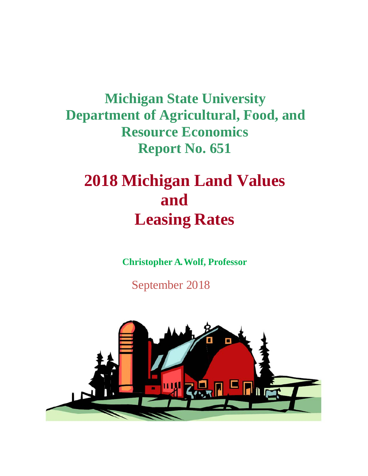**Michigan State University Department of Agricultural, Food, and Resource Economics Report No. 651**

# **2018 Michigan Land Values and Leasing Rates**

**Christopher A. Wolf, Professor**

September 2018

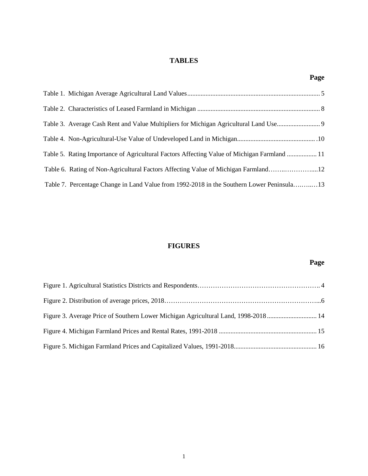# **TABLES**

| ×<br>٠<br>×<br>٧ |
|------------------|
|------------------|

| Table 5. Rating Importance of Agricultural Factors Affecting Value of Michigan Farmland  11 |  |
|---------------------------------------------------------------------------------------------|--|
|                                                                                             |  |
| Table 7. Percentage Change in Land Value from 1992-2018 in the Southern Lower Peninsula13   |  |

# **FIGURES**

# **Page**

| Figure 3. Average Price of Southern Lower Michigan Agricultural Land, 1998-2018 14 |  |
|------------------------------------------------------------------------------------|--|
|                                                                                    |  |
|                                                                                    |  |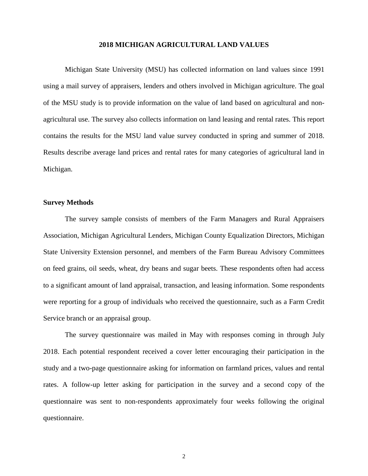#### **2018 MICHIGAN AGRICULTURAL LAND VALUES**

Michigan State University (MSU) has collected information on land values since 1991 using a mail survey of appraisers, lenders and others involved in Michigan agriculture. The goal of the MSU study is to provide information on the value of land based on agricultural and nonagricultural use. The survey also collects information on land leasing and rental rates. This report contains the results for the MSU land value survey conducted in spring and summer of 2018. Results describe average land prices and rental rates for many categories of agricultural land in Michigan.

#### **Survey Methods**

The survey sample consists of members of the Farm Managers and Rural Appraisers Association, Michigan Agricultural Lenders, Michigan County Equalization Directors, Michigan State University Extension personnel, and members of the Farm Bureau Advisory Committees on feed grains, oil seeds, wheat, dry beans and sugar beets. These respondents often had access to a significant amount of land appraisal, transaction, and leasing information. Some respondents were reporting for a group of individuals who received the questionnaire, such as a Farm Credit Service branch or an appraisal group.

The survey questionnaire was mailed in May with responses coming in through July 2018. Each potential respondent received a cover letter encouraging their participation in the study and a two-page questionnaire asking for information on farmland prices, values and rental rates. A follow-up letter asking for participation in the survey and a second copy of the questionnaire was sent to non-respondents approximately four weeks following the original questionnaire.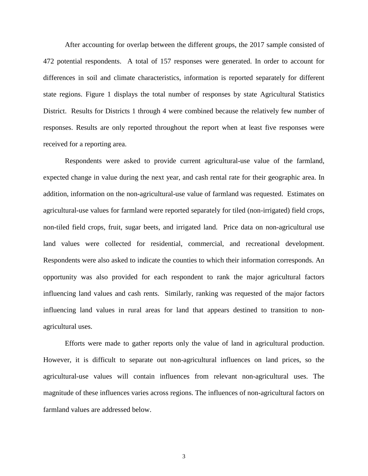After accounting for overlap between the different groups, the 2017 sample consisted of 472 potential respondents. A total of 157 responses were generated. In order to account for differences in soil and climate characteristics, information is reported separately for different state regions. Figure 1 displays the total number of responses by state Agricultural Statistics District. Results for Districts 1 through 4 were combined because the relatively few number of responses. Results are only reported throughout the report when at least five responses were received for a reporting area.

Respondents were asked to provide current agricultural-use value of the farmland, expected change in value during the next year, and cash rental rate for their geographic area. In addition, information on the non-agricultural-use value of farmland was requested. Estimates on agricultural-use values for farmland were reported separately for tiled (non-irrigated) field crops, non-tiled field crops, fruit, sugar beets, and irrigated land. Price data on non-agricultural use land values were collected for residential, commercial, and recreational development. Respondents were also asked to indicate the counties to which their information corresponds. An opportunity was also provided for each respondent to rank the major agricultural factors influencing land values and cash rents. Similarly, ranking was requested of the major factors influencing land values in rural areas for land that appears destined to transition to nonagricultural uses.

Efforts were made to gather reports only the value of land in agricultural production. However, it is difficult to separate out non-agricultural influences on land prices, so the agricultural-use values will contain influences from relevant non-agricultural uses. The magnitude of these influences varies across regions. The influences of non-agricultural factors on farmland values are addressed below.

3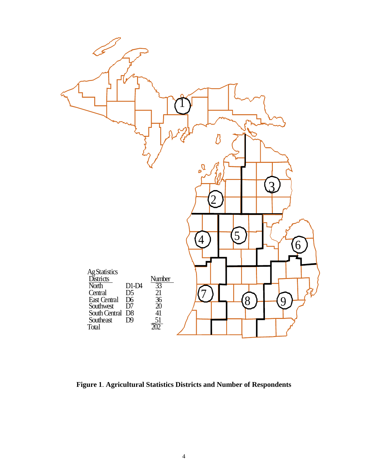

**Figure 1**. **Agricultural Statistics Districts and Number of Respondents**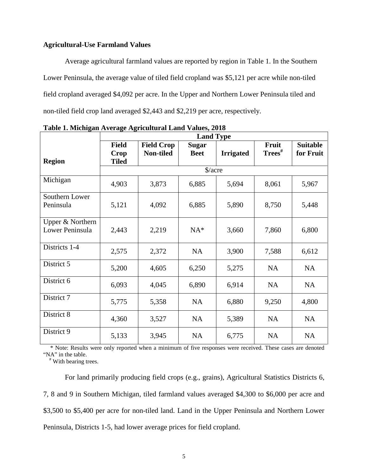## **Agricultural-Use Farmland Values**

Average agricultural farmland values are reported by region in Table 1. In the Southern Lower Peninsula, the average value of tiled field cropland was \$5,121 per acre while non-tiled field cropland averaged \$4,092 per acre. In the Upper and Northern Lower Peninsula tiled and non-tiled field crop land averaged \$2,443 and \$2,219 per acre, respectively.

|                                     | <b>Land Type</b>                            |                                |                             |                  |                       |                              |  |  |  |  |
|-------------------------------------|---------------------------------------------|--------------------------------|-----------------------------|------------------|-----------------------|------------------------------|--|--|--|--|
| <b>Region</b>                       | <b>Field</b><br><b>Crop</b><br><b>Tiled</b> | <b>Field Crop</b><br>Non-tiled | <b>Sugar</b><br><b>Beet</b> | <b>Irrigated</b> | Fruit<br>$Trees^{\#}$ | <b>Suitable</b><br>for Fruit |  |  |  |  |
|                                     |                                             |                                | $\frac{\sqrt{2}}{2}$        |                  |                       |                              |  |  |  |  |
| Michigan                            | 4,903                                       | 3,873                          | 6,885                       | 5,694            | 8,061                 | 5,967                        |  |  |  |  |
| Southern Lower<br>Peninsula         | 5,121                                       | 4,092                          | 6,885                       | 5,890            | 8,750                 | 5,448                        |  |  |  |  |
| Upper & Northern<br>Lower Peninsula | 2,443                                       | 2,219                          | $NA^*$                      | 3,660            | 7,860                 | 6,800                        |  |  |  |  |
| Districts 1-4                       | 2,575                                       | 2,372                          | <b>NA</b>                   | 3,900            | 7,588                 | 6,612                        |  |  |  |  |
| District 5                          | 5,200                                       | 4,605                          | 6,250                       | 5,275            | <b>NA</b>             | <b>NA</b>                    |  |  |  |  |
| District 6                          | 6,093                                       | 4,045                          | 6,890                       | 6,914            | <b>NA</b>             | NA                           |  |  |  |  |
| District 7                          | 5,775                                       | 5,358                          | <b>NA</b>                   | 6,880            | 9,250                 | 4,800                        |  |  |  |  |
| District 8                          | 4,360                                       | 3,527                          | <b>NA</b>                   | 5,389            | <b>NA</b>             | NA                           |  |  |  |  |
| District 9                          | 5,133                                       | 3,945                          | <b>NA</b>                   | 6,775            | <b>NA</b>             | NA                           |  |  |  |  |

**Table 1. Michigan Average Agricultural Land Values, 2018**

 \* Note: Results were only reported when a minimum of five responses were received. These cases are denoted "NA" in the table.

# With bearing trees.

For land primarily producing field crops (e.g., grains), Agricultural Statistics Districts 6, 7, 8 and 9 in Southern Michigan, tiled farmland values averaged \$4,300 to \$6,000 per acre and \$3,500 to \$5,400 per acre for non-tiled land. Land in the Upper Peninsula and Northern Lower Peninsula, Districts 1-5, had lower average prices for field cropland.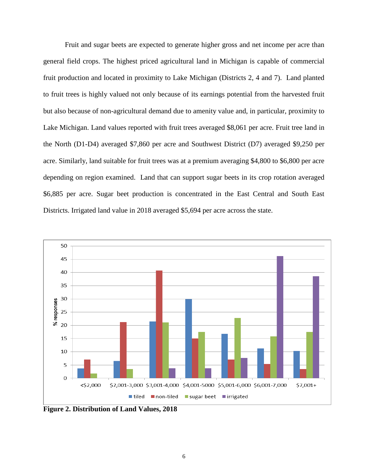Fruit and sugar beets are expected to generate higher gross and net income per acre than general field crops. The highest priced agricultural land in Michigan is capable of commercial fruit production and located in proximity to Lake Michigan (Districts 2, 4 and 7). Land planted to fruit trees is highly valued not only because of its earnings potential from the harvested fruit but also because of non-agricultural demand due to amenity value and, in particular, proximity to Lake Michigan. Land values reported with fruit trees averaged \$8,061 per acre. Fruit tree land in the North (D1-D4) averaged \$7,860 per acre and Southwest District (D7) averaged \$9,250 per acre. Similarly, land suitable for fruit trees was at a premium averaging \$4,800 to \$6,800 per acre depending on region examined. Land that can support sugar beets in its crop rotation averaged \$6,885 per acre. Sugar beet production is concentrated in the East Central and South East Districts. Irrigated land value in 2018 averaged \$5,694 per acre across the state.



**Figure 2. Distribution of Land Values, 2018**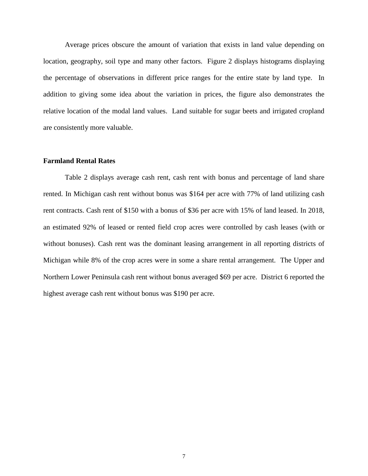Average prices obscure the amount of variation that exists in land value depending on location, geography, soil type and many other factors. Figure 2 displays histograms displaying the percentage of observations in different price ranges for the entire state by land type. In addition to giving some idea about the variation in prices, the figure also demonstrates the relative location of the modal land values. Land suitable for sugar beets and irrigated cropland are consistently more valuable.

#### **Farmland Rental Rates**

Table 2 displays average cash rent, cash rent with bonus and percentage of land share rented. In Michigan cash rent without bonus was \$164 per acre with 77% of land utilizing cash rent contracts. Cash rent of \$150 with a bonus of \$36 per acre with 15% of land leased. In 2018, an estimated 92% of leased or rented field crop acres were controlled by cash leases (with or without bonuses). Cash rent was the dominant leasing arrangement in all reporting districts of Michigan while 8% of the crop acres were in some a share rental arrangement. The Upper and Northern Lower Peninsula cash rent without bonus averaged \$69 per acre. District 6 reported the highest average cash rent without bonus was \$190 per acre.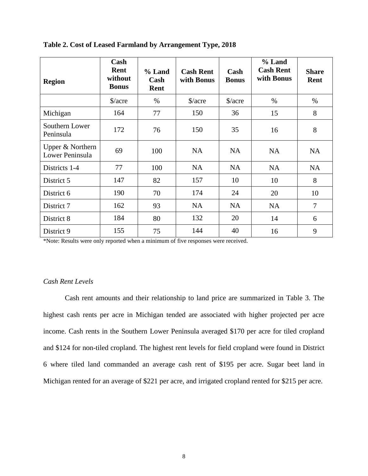| <b>Region</b>                       | Cash<br>Rent<br>without<br><b>Bonus</b> | $%$ Land<br>Cash<br>Rent | <b>Cash Rent</b><br>with Bonus | Cash<br><b>Bonus</b> | % Land<br><b>Cash Rent</b><br>with Bonus | <b>Share</b><br>Rent |
|-------------------------------------|-----------------------------------------|--------------------------|--------------------------------|----------------------|------------------------------------------|----------------------|
|                                     | $\frac{\text{a}}{\text{a}}$             | $\%$                     | $\frac{\sqrt{2}}{2}$           | $\frac{\sqrt{2}}{2}$ | $\%$                                     | $\%$                 |
| Michigan                            | 164                                     | 77                       | 150                            | 36                   | 15                                       | 8                    |
| Southern Lower<br>Peninsula         | 172                                     | 76                       | 150                            | 35                   | 16                                       | 8                    |
| Upper & Northern<br>Lower Peninsula | 69                                      | 100                      | <b>NA</b>                      | <b>NA</b>            | <b>NA</b>                                | <b>NA</b>            |
| Districts 1-4                       | 77                                      | 100                      | <b>NA</b>                      | <b>NA</b>            | <b>NA</b>                                | <b>NA</b>            |
| District 5                          | 147                                     | 82                       | 157                            | 10                   | 10                                       | 8                    |
| District 6                          | 190                                     | 70                       | 174                            | 24                   | 20                                       | 10                   |
| District 7                          | 162                                     | 93                       | <b>NA</b>                      | <b>NA</b>            | <b>NA</b>                                | $\overline{7}$       |
| District 8                          | 184                                     | 80                       | 132                            | 20                   | 14                                       | 6                    |
| District 9                          | 155                                     | 75                       | 144                            | 40                   | 16                                       | 9                    |

#### **Table 2. Cost of Leased Farmland by Arrangement Type, 2018**

\*Note: Results were only reported when a minimum of five responses were received.

## *Cash Rent Levels*

Cash rent amounts and their relationship to land price are summarized in Table 3. The highest cash rents per acre in Michigan tended are associated with higher projected per acre income. Cash rents in the Southern Lower Peninsula averaged \$170 per acre for tiled cropland and \$124 for non-tiled cropland. The highest rent levels for field cropland were found in District 6 where tiled land commanded an average cash rent of \$195 per acre. Sugar beet land in Michigan rented for an average of \$221 per acre, and irrigated cropland rented for \$215 per acre.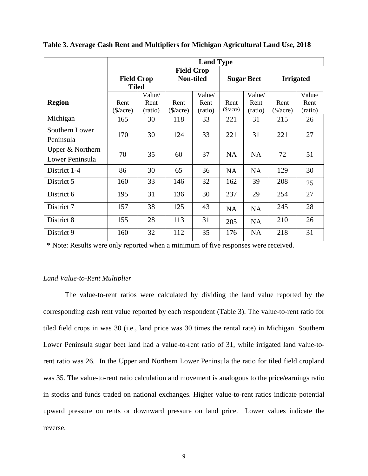|                                     | <b>Land Type</b>                  |                           |                                |                           |                     |                           |                     |                           |
|-------------------------------------|-----------------------------------|---------------------------|--------------------------------|---------------------------|---------------------|---------------------------|---------------------|---------------------------|
|                                     | <b>Field Crop</b><br><b>Tiled</b> |                           | <b>Field Crop</b><br>Non-tiled |                           | <b>Sugar Beet</b>   |                           | <b>Irrigated</b>    |                           |
| <b>Region</b>                       | Rent<br>\$/acre)                  | Value/<br>Rent<br>(ratio) | Rent<br>$(\$/acre)$            | Value/<br>Rent<br>(ratio) | Rent<br>$(\$/acre)$ | Value/<br>Rent<br>(ratio) | Rent<br>$(\$/acre)$ | Value/<br>Rent<br>(ratio) |
| Michigan                            | 165                               | 30                        | 118                            | 33                        | 221                 | 31                        | 215                 | 26                        |
| Southern Lower<br>Peninsula         | 170                               | 30                        | 124                            | 33                        | 221                 | 31                        | 221                 | 27                        |
| Upper & Northern<br>Lower Peninsula | 70                                | 35                        | 60                             | 37                        | <b>NA</b>           | <b>NA</b>                 | 72                  | 51                        |
| District 1-4                        | 86                                | 30                        | 65                             | 36                        | <b>NA</b>           | <b>NA</b>                 | 129                 | 30                        |
| District 5                          | 160                               | 33                        | 146                            | 32                        | 162                 | 39                        | 208                 | 25                        |
| District 6                          | 195                               | 31                        | 136                            | 30                        | 237                 | 29                        | 254                 | 27                        |
| District 7                          | 157                               | 38                        | 125                            | 43                        | <b>NA</b>           | <b>NA</b>                 | 245                 | 28                        |
| District 8                          | 155                               | 28                        | 113                            | 31                        | 205                 | <b>NA</b>                 | 210                 | 26                        |
| District 9                          | 160                               | 32                        | 112                            | 35                        | 176                 | <b>NA</b>                 | 218                 | 31                        |

**Table 3. Average Cash Rent and Multipliers for Michigan Agricultural Land Use, 2018**

\* Note: Results were only reported when a minimum of five responses were received.

## *Land Value-to-Rent Multiplier*

The value-to-rent ratios were calculated by dividing the land value reported by the corresponding cash rent value reported by each respondent (Table 3). The value-to-rent ratio for tiled field crops in was 30 (i.e., land price was 30 times the rental rate) in Michigan. Southern Lower Peninsula sugar beet land had a value-to-rent ratio of 31, while irrigated land value-torent ratio was 26. In the Upper and Northern Lower Peninsula the ratio for tiled field cropland was 35. The value-to-rent ratio calculation and movement is analogous to the price/earnings ratio in stocks and funds traded on national exchanges. Higher value-to-rent ratios indicate potential upward pressure on rents or downward pressure on land price. Lower values indicate the reverse.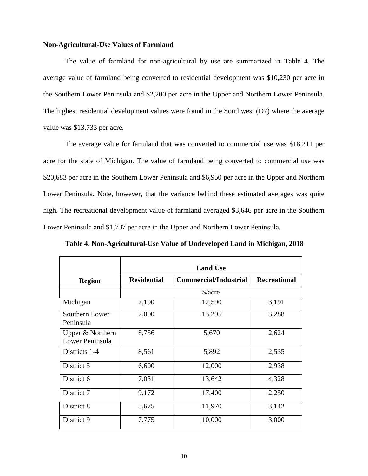#### **Non-Agricultural-Use Values of Farmland**

The value of farmland for non-agricultural by use are summarized in Table 4. The average value of farmland being converted to residential development was \$10,230 per acre in the Southern Lower Peninsula and \$2,200 per acre in the Upper and Northern Lower Peninsula. The highest residential development values were found in the Southwest (D7) where the average value was \$13,733 per acre.

The average value for farmland that was converted to commercial use was \$18,211 per acre for the state of Michigan. The value of farmland being converted to commercial use was \$20,683 per acre in the Southern Lower Peninsula and \$6,950 per acre in the Upper and Northern Lower Peninsula. Note, however, that the variance behind these estimated averages was quite high. The recreational development value of farmland averaged \$3,646 per acre in the Southern Lower Peninsula and \$1,737 per acre in the Upper and Northern Lower Peninsula.

|                                     | <b>Land Use</b>                                                           |                      |       |  |  |  |  |  |  |
|-------------------------------------|---------------------------------------------------------------------------|----------------------|-------|--|--|--|--|--|--|
| <b>Region</b>                       | <b>Residential</b><br><b>Commercial/Industrial</b><br><b>Recreational</b> |                      |       |  |  |  |  |  |  |
|                                     |                                                                           | $\frac{\sqrt{2}}{2}$ |       |  |  |  |  |  |  |
| Michigan                            | 7,190                                                                     | 12,590               | 3,191 |  |  |  |  |  |  |
| Southern Lower<br>Peninsula         | 7,000                                                                     | 13,295               | 3,288 |  |  |  |  |  |  |
| Upper & Northern<br>Lower Peninsula | 8,756                                                                     | 5,670                | 2,624 |  |  |  |  |  |  |
| Districts 1-4                       | 8,561                                                                     | 5,892                | 2,535 |  |  |  |  |  |  |
| District 5                          | 6,600                                                                     | 12,000               | 2,938 |  |  |  |  |  |  |
| District 6                          | 7,031                                                                     | 13,642               | 4,328 |  |  |  |  |  |  |
| District 7                          | 9,172                                                                     | 17,400               | 2,250 |  |  |  |  |  |  |
| District 8                          | 5,675                                                                     | 11,970               | 3,142 |  |  |  |  |  |  |
| District 9                          | 7,775                                                                     | 10,000               | 3,000 |  |  |  |  |  |  |

**Table 4. Non-Agricultural-Use Value of Undeveloped Land in Michigan, 2018**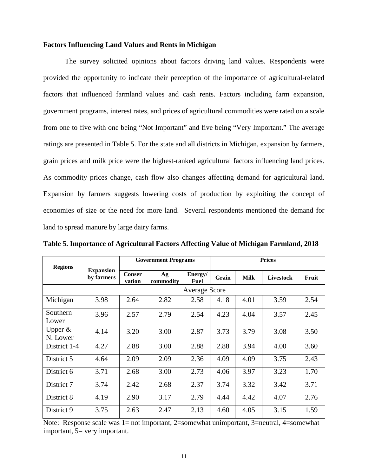#### **Factors Influencing Land Values and Rents in Michigan**

The survey solicited opinions about factors driving land values. Respondents were provided the opportunity to indicate their perception of the importance of agricultural-related factors that influenced farmland values and cash rents. Factors including farm expansion, government programs, interest rates, and prices of agricultural commodities were rated on a scale from one to five with one being "Not Important" and five being "Very Important." The average ratings are presented in Table 5. For the state and all districts in Michigan, expansion by farmers, grain prices and milk price were the highest-ranked agricultural factors influencing land prices. As commodity prices change, cash flow also changes affecting demand for agricultural land. Expansion by farmers suggests lowering costs of production by exploiting the concept of economies of size or the need for more land. Several respondents mentioned the demand for land to spread manure by large dairy farms.

| <b>Regions</b>        |                                |                         | <b>Government Programs</b> |                        | <b>Prices</b> |             |                  |       |  |  |  |
|-----------------------|--------------------------------|-------------------------|----------------------------|------------------------|---------------|-------------|------------------|-------|--|--|--|
|                       | <b>Expansion</b><br>by farmers | <b>Conser</b><br>vation | Ag<br>commodity            | Energy/<br><b>Fuel</b> | Grain         | <b>Milk</b> | <b>Livestock</b> | Fruit |  |  |  |
|                       |                                | <b>Average Score</b>    |                            |                        |               |             |                  |       |  |  |  |
| Michigan              | 3.98                           | 2.64                    | 2.82                       | 2.58                   | 4.18          | 4.01        | 3.59             | 2.54  |  |  |  |
| Southern<br>Lower     | 3.96                           | 2.57                    | 2.79                       | 2.54                   | 4.23          | 4.04        | 3.57             | 2.45  |  |  |  |
| Upper $&$<br>N. Lower | 4.14                           | 3.20                    | 3.00                       | 2.87                   | 3.73          | 3.79        | 3.08             | 3.50  |  |  |  |
| District 1-4          | 4.27                           | 2.88                    | 3.00                       | 2.88                   | 2.88          | 3.94        | 4.00             | 3.60  |  |  |  |
| District 5            | 4.64                           | 2.09                    | 2.09                       | 2.36                   | 4.09          | 4.09        | 3.75             | 2.43  |  |  |  |
| District 6            | 3.71                           | 2.68                    | 3.00                       | 2.73                   | 4.06          | 3.97        | 3.23             | 1.70  |  |  |  |
| District 7            | 3.74                           | 2.42                    | 2.68                       | 2.37                   | 3.74          | 3.32        | 3.42             | 3.71  |  |  |  |
| District 8            | 4.19                           | 2.90                    | 3.17                       | 2.79                   | 4.44          | 4.42        | 4.07             | 2.76  |  |  |  |
| District 9            | 3.75                           | 2.63                    | 2.47                       | 2.13                   | 4.60          | 4.05        | 3.15             | 1.59  |  |  |  |

**Table 5. Importance of Agricultural Factors Affecting Value of Michigan Farmland, 2018**

Note: Response scale was 1= not important, 2=somewhat unimportant, 3=neutral, 4=somewhat important, 5= very important.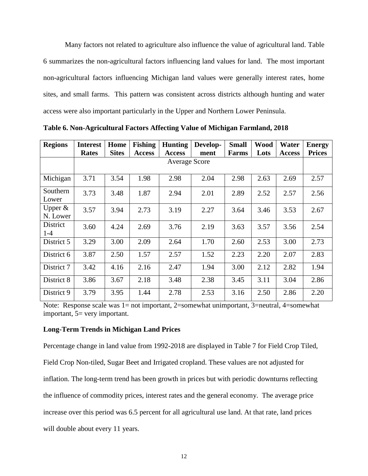Many factors not related to agriculture also influence the value of agricultural land. Table 6 summarizes the non-agricultural factors influencing land values for land. The most important non-agricultural factors influencing Michigan land values were generally interest rates, home sites, and small farms. This pattern was consistent across districts although hunting and water access were also important particularly in the Upper and Northern Lower Peninsula.

| <b>Regions</b>         | <b>Interest</b><br><b>Rates</b> | Home<br><b>Sites</b> | <b>Fishing</b><br><b>Access</b> | <b>Hunting</b><br><b>Access</b> | Develop-<br>ment | <b>Small</b><br><b>Farms</b> | <b>Wood</b><br>Lots | Water<br><b>Access</b> | <b>Energy</b><br><b>Prices</b> |  |  |
|------------------------|---------------------------------|----------------------|---------------------------------|---------------------------------|------------------|------------------------------|---------------------|------------------------|--------------------------------|--|--|
|                        |                                 | <b>Average Score</b> |                                 |                                 |                  |                              |                     |                        |                                |  |  |
|                        |                                 |                      |                                 |                                 |                  |                              |                     |                        |                                |  |  |
| Michigan               | 3.71                            | 3.54                 | 1.98                            | 2.98                            | 2.04             | 2.98                         | 2.63                | 2.69                   | 2.57                           |  |  |
| Southern<br>Lower      | 3.73                            | 3.48                 | 1.87                            | 2.94                            | 2.01             | 2.89                         | 2.52                | 2.57                   | 2.56                           |  |  |
| Upper $\&$<br>N. Lower | 3.57                            | 3.94                 | 2.73                            | 3.19                            | 2.27             | 3.64                         | 3.46                | 3.53                   | 2.67                           |  |  |
| District<br>$1-4$      | 3.60                            | 4.24                 | 2.69                            | 3.76                            | 2.19             | 3.63                         | 3.57                | 3.56                   | 2.54                           |  |  |
| District 5             | 3.29                            | 3.00                 | 2.09                            | 2.64                            | 1.70             | 2.60                         | 2.53                | 3.00                   | 2.73                           |  |  |
| District 6             | 3.87                            | 2.50                 | 1.57                            | 2.57                            | 1.52             | 2.23                         | 2.20                | 2.07                   | 2.83                           |  |  |
| District 7             | 3.42                            | 4.16                 | 2.16                            | 2.47                            | 1.94             | 3.00                         | 2.12                | 2.82                   | 1.94                           |  |  |
| District 8             | 3.86                            | 3.67                 | 2.18                            | 3.48                            | 2.38             | 3.45                         | 3.11                | 3.04                   | 2.86                           |  |  |
| District 9             | 3.79                            | 3.95                 | 1.44                            | 2.78                            | 2.53             | 3.16                         | 2.50                | 2.86                   | 2.20                           |  |  |

**Table 6. Non-Agricultural Factors Affecting Value of Michigan Farmland, 2018**

Note: Response scale was 1= not important, 2=somewhat unimportant, 3=neutral, 4=somewhat important, 5= very important.

### **Long-Term Trends in Michigan Land Prices**

Percentage change in land value from 1992-2018 are displayed in Table 7 for Field Crop Tiled, Field Crop Non-tiled, Sugar Beet and Irrigated cropland. These values are not adjusted for inflation. The long-term trend has been growth in prices but with periodic downturns reflecting the influence of commodity prices, interest rates and the general economy. The average price increase over this period was 6.5 percent for all agricultural use land. At that rate, land prices will double about every 11 years.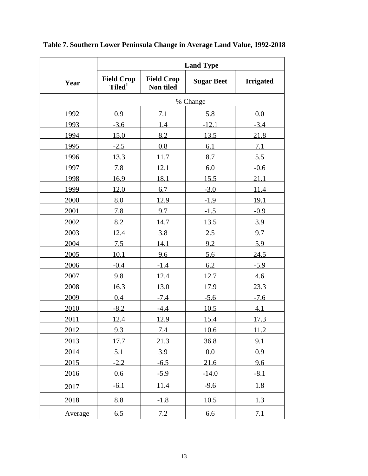|         | <b>Land Type</b>                        |                                |                   |                  |  |  |  |  |  |
|---------|-----------------------------------------|--------------------------------|-------------------|------------------|--|--|--|--|--|
| Year    | <b>Field Crop</b><br>Tiled <sup>1</sup> | <b>Field Crop</b><br>Non tiled | <b>Sugar Beet</b> | <b>Irrigated</b> |  |  |  |  |  |
|         | % Change                                |                                |                   |                  |  |  |  |  |  |
| 1992    | 0.9                                     | 7.1                            | 5.8               | 0.0              |  |  |  |  |  |
| 1993    | $-3.6$                                  | 1.4                            | $-12.1$           | $-3.4$           |  |  |  |  |  |
| 1994    | 15.0                                    | 8.2                            | 13.5              | 21.8             |  |  |  |  |  |
| 1995    | $-2.5$                                  | 0.8                            | 6.1               | 7.1              |  |  |  |  |  |
| 1996    | 13.3                                    | 11.7                           | 8.7               | 5.5              |  |  |  |  |  |
| 1997    | 7.8                                     | 12.1                           | 6.0               | $-0.6$           |  |  |  |  |  |
| 1998    | 16.9                                    | 18.1                           | 15.5              | 21.1             |  |  |  |  |  |
| 1999    | 12.0                                    | 6.7                            | $-3.0$            | 11.4             |  |  |  |  |  |
| 2000    | 8.0                                     | 12.9                           | $-1.9$            | 19.1             |  |  |  |  |  |
| 2001    | 7.8                                     | 9.7                            | $-1.5$            | $-0.9$           |  |  |  |  |  |
| 2002    | 8.2                                     | 14.7                           | 13.5              | 3.9              |  |  |  |  |  |
| 2003    | 12.4                                    | 3.8                            | 2.5               | 9.7              |  |  |  |  |  |
| 2004    | 7.5                                     | 14.1                           | 9.2               | 5.9              |  |  |  |  |  |
| 2005    | 10.1                                    | 9.6                            | 5.6               | 24.5             |  |  |  |  |  |
| 2006    | $-0.4$                                  | $-1.4$                         | 6.2               | $-5.9$           |  |  |  |  |  |
| 2007    | 9.8                                     | 12.4                           | 12.7              | 4.6              |  |  |  |  |  |
| 2008    | 16.3                                    | 13.0                           | 17.9              | 23.3             |  |  |  |  |  |
| 2009    | 0.4                                     | $-7.4$                         | $-5.6$            | $-7.6$           |  |  |  |  |  |
| 2010    | $-8.2$                                  | $-4.4$                         | 10.5              | 4.1              |  |  |  |  |  |
| 2011    | 12.4                                    | 12.9                           | 15.4              | 17.3             |  |  |  |  |  |
| 2012    | 9.3                                     | 7.4                            | 10.6              | 11.2             |  |  |  |  |  |
| 2013    | 17.7                                    | 21.3                           | 36.8              | 9.1              |  |  |  |  |  |
| 2014    | 5.1                                     | 3.9                            | 0.0               | 0.9              |  |  |  |  |  |
| 2015    | $-2.2$                                  | $-6.5$                         | 21.6              | 9.6              |  |  |  |  |  |
| 2016    | 0.6                                     | $-5.9$                         | $-14.0$           | $-8.1$           |  |  |  |  |  |
| 2017    | $-6.1$                                  | 11.4                           | $-9.6$            | 1.8              |  |  |  |  |  |
| 2018    | $\!\!\!\!\!8.8$                         | $-1.8$                         | 10.5              | 1.3              |  |  |  |  |  |
| Average | 6.5                                     | 7.2                            | 6.6               | $7.1\,$          |  |  |  |  |  |

**Table 7. Southern Lower Peninsula Change in Average Land Value, 1992-2018**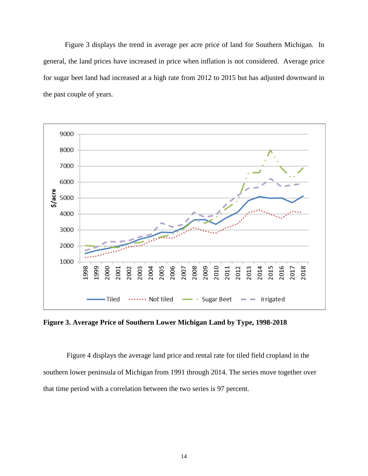Figure 3 displays the trend in average per acre price of land for Southern Michigan. In general, the land prices have increased in price when inflation is not considered. Average price for sugar beet land had increased at a high rate from 2012 to 2015 but has adjusted downward in the past couple of years.



**Figure 3. Average Price of Southern Lower Michigan Land by Type, 1998-2018**

Figure 4 displays the average land price and rental rate for tiled field cropland in the southern lower peninsula of Michigan from 1991 through 2014. The series move together over that time period with a correlation between the two series is 97 percent.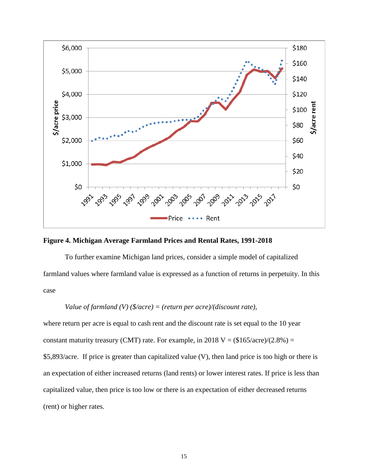



To further examine Michigan land prices, consider a simple model of capitalized farmland values where farmland value is expressed as a function of returns in perpetuity. In this case

*Value of farmland (V) (\$/acre) = (return per acre)/(discount rate)*,

where return per acre is equal to cash rent and the discount rate is set equal to the 10 year constant maturity treasury (CMT) rate. For example, in 2018  $V = (\$165/acre)/(2.8\%) =$ \$5,893/acre. If price is greater than capitalized value (V), then land price is too high or there is an expectation of either increased returns (land rents) or lower interest rates. If price is less than capitalized value, then price is too low or there is an expectation of either decreased returns (rent) or higher rates.